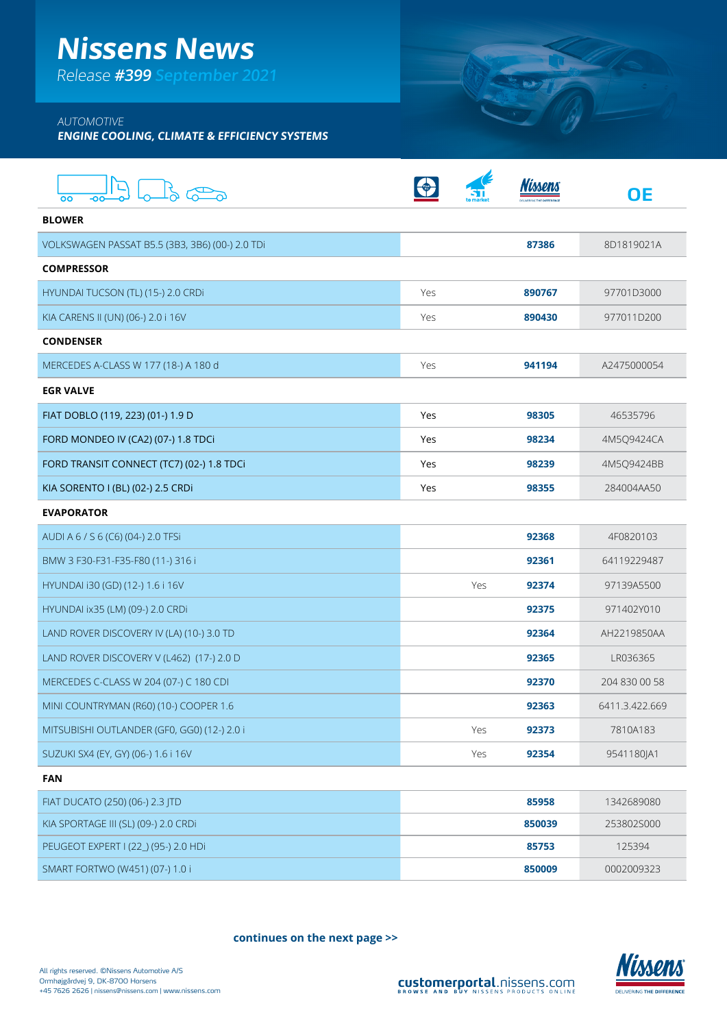## **Nissens News**

Release **#399 September 2021**

### AUTOMOTIVE

**ENGINE COOLING, CLIMATE & EFFICIENCY SYSTEMS**

|                                                 |     |              | ΟE             |
|-------------------------------------------------|-----|--------------|----------------|
| <b>BLOWER</b>                                   |     |              |                |
| VOLKSWAGEN PASSAT B5.5 (3B3, 3B6) (00-) 2.0 TDi |     | 87386        | 8D1819021A     |
| <b>COMPRESSOR</b>                               |     |              |                |
| HYUNDAI TUCSON (TL) (15-) 2.0 CRDI              | Yes | 890767       | 97701D3000     |
| KIA CARENS II (UN) (06-) 2.0 i 16V              | Yes | 890430       | 977011D200     |
| <b>CONDENSER</b>                                |     |              |                |
| MERCEDES A-CLASS W 177 (18-) A 180 d            | Yes | 941194       | A2475000054    |
| <b>EGR VALVE</b>                                |     |              |                |
| FIAT DOBLO (119, 223) (01-) 1.9 D               | Yes | 98305        | 46535796       |
| FORD MONDEO IV (CA2) (07-) 1.8 TDCi             | Yes | 98234        | 4M5Q9424CA     |
| FORD TRANSIT CONNECT (TC7) (02-) 1.8 TDCi       | Yes | 98239        | 4M5Q9424BB     |
| KIA SORENTO I (BL) (02-) 2.5 CRDi               | Yes | 98355        | 284004AA50     |
| <b>EVAPORATOR</b>                               |     |              |                |
| AUDI A 6 / S 6 (C6) (04-) 2.0 TFSi              |     | 92368        | 4F0820103      |
| BMW 3 F30-F31-F35-F80 (11-) 316 i               |     | 92361        | 64119229487    |
| HYUNDAI i30 (GD) (12-) 1.6 i 16V                |     | Yes<br>92374 | 97139A5500     |
| HYUNDAI ix35 (LM) (09-) 2.0 CRDi                |     | 92375        | 971402Y010     |
| LAND ROVER DISCOVERY IV (LA) (10-) 3.0 TD       |     | 92364        | AH2219850AA    |
| LAND ROVER DISCOVERY V (L462) (17-) 2.0 D       |     | 92365        | LR036365       |
| MERCEDES C-CLASS W 204 (07-) C 180 CDI          |     | 92370        | 204 830 00 58  |
| MINI COUNTRYMAN (R60) (10-) COOPER 1.6          |     | 92363        | 6411.3.422.669 |
| MITSUBISHI OUTLANDER (GF0, GG0) (12-) 2.0 i     |     | Yes<br>92373 | 7810A183       |
| SUZUKI SX4 (EY, GY) (06-) 1.6 i 16V             |     | Yes<br>92354 | 9541180JA1     |
| <b>FAN</b>                                      |     |              |                |
| FIAT DI ICATO (250) (06-) 2.3 ITD               |     | 85958        | 1342689080     |

| FIAT DUCATO (250) (06-) 2.3 JTD      | 85958  | 1342689080 |
|--------------------------------------|--------|------------|
| KIA SPORTAGE III (SL) (09-) 2.0 CRDI | 850039 | 2538025000 |
| PEUGEOT EXPERT I (22) (95-) 2.0 HDi  | 85753  | 125394     |
| SMART FORTWO (W451) (07-) 1.0 i      | 850009 | 0002009323 |

**continues on the next page >>**



SOTT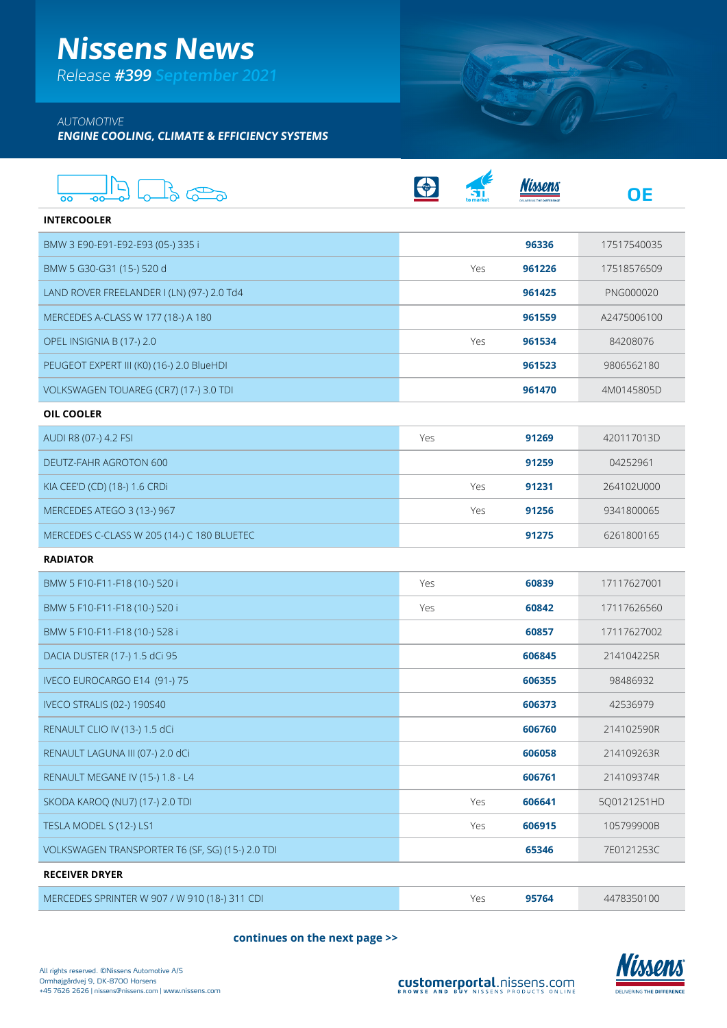## **Nissens News**

Release **#399 September 2021**

### AUTOMOTIVE

**ENGINE COOLING, CLIMATE & EFFICIENCY SYSTEMS**

| oo                                               |     |     |        | OΕ          |
|--------------------------------------------------|-----|-----|--------|-------------|
| <b>INTERCOOLER</b>                               |     |     |        |             |
| BMW 3 E90-E91-E92-E93 (05-) 335 i                |     |     | 96336  | 17517540035 |
| BMW 5 G30-G31 (15-) 520 d                        |     | Yes | 961226 | 17518576509 |
| LAND ROVER FREELANDER I (LN) (97-) 2.0 Td4       |     |     | 961425 | PNG000020   |
| MERCEDES A-CLASS W 177 (18-) A 180               |     |     | 961559 | A2475006100 |
| OPEL INSIGNIA B (17-) 2.0                        |     | Yes | 961534 | 84208076    |
| PEUGEOT EXPERT III (K0) (16-) 2.0 BlueHDI        |     |     | 961523 | 9806562180  |
| VOLKSWAGEN TOUAREG (CR7) (17-) 3.0 TDI           |     |     | 961470 | 4M0145805D  |
| OIL COOLER                                       |     |     |        |             |
| AUDI R8 (07-) 4.2 FSI                            | Yes |     | 91269  | 420117013D  |
| DEUTZ-FAHR AGROTON 600                           |     |     | 91259  | 04252961    |
| KIA CEE'D (CD) (18-) 1.6 CRDi                    |     | Yes | 91231  | 264102U000  |
| MERCEDES ATEGO 3 (13-) 967                       |     | Yes | 91256  | 9341800065  |
| MERCEDES C-CLASS W 205 (14-) C 180 BLUETEC       |     |     | 91275  | 6261800165  |
| <b>RADIATOR</b>                                  |     |     |        |             |
| BMW 5 F10-F11-F18 (10-) 520 i                    | Yes |     | 60839  | 17117627001 |
| BMW 5 F10-F11-F18 (10-) 520 i                    | Yes |     | 60842  | 17117626560 |
| BMW 5 F10-F11-F18 (10-) 528 i                    |     |     | 60857  | 17117627002 |
| DACIA DUSTER (17-) 1.5 dCi 95                    |     |     | 606845 | 214104225R  |
| IVECO EUROCARGO E14 (91-) 75                     |     |     | 606355 | 98486932    |
| <b>IVECO STRALIS (02-) 190S40</b>                |     |     | 606373 | 42536979    |
| RENAULT CLIO IV (13-) 1.5 dCi                    |     |     | 606760 | 214102590R  |
| RENAULT LAGUNA III (07-) 2.0 dCi                 |     |     | 606058 | 214109263R  |
| RENAULT MEGANE IV (15-) 1.8 - L4                 |     |     | 606761 | 214109374R  |
| SKODA KAROQ (NU7) (17-) 2.0 TDI                  |     | Yes | 606641 | 5Q0121251HD |
| TESLA MODEL S (12-) LS1                          |     | Yes | 606915 | 105799900B  |
| VOLKSWAGEN TRANSPORTER T6 (SF, SG) (15-) 2.0 TDI |     |     | 65346  | 7E0121253C  |
| <b>RECEIVER DRYER</b>                            |     |     |        |             |
| MERCEDES SPRINTER W 907 / W 910 (18-) 311 CDI    |     | Yes | 95764  | 4478350100  |

**continues on the next page >>**



SOT